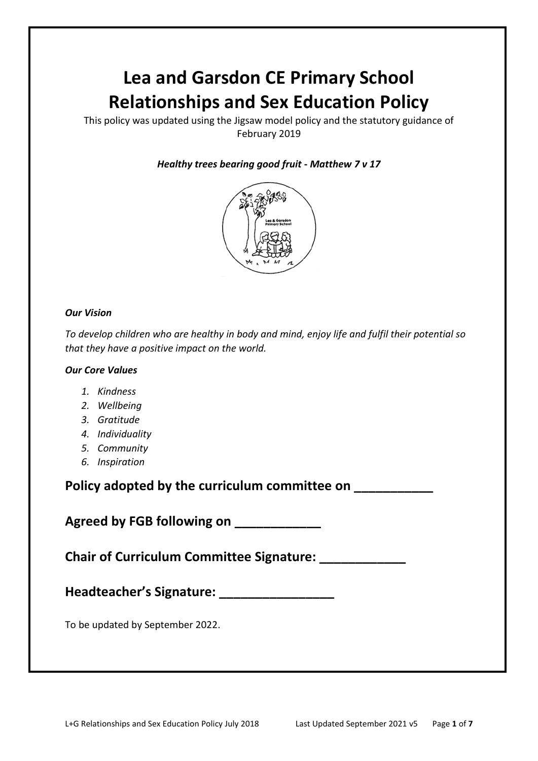# **Lea and Garsdon CE Primary School Relationships and Sex Education Policy**

This policy was updated using the Jigsaw model policy and the statutory guidance of February 2019

## *Healthy trees bearing good fruit* **-** *Matthew 7 v 17*



#### *Our Vision*

*To develop children who are healthy in body and mind, enjoy life and fulfil their potential so that they have a positive impact on the world.*

#### *Our Core Values*

- *1. Kindness*
- *2. Wellbeing*
- *3. Gratitude*
- *4. Individuality*
- *5. Community*
- *6. Inspiration*

**Policy adopted by the curriculum committee on \_\_\_\_\_\_\_\_\_\_\_**

**Agreed by FGB following on \_\_\_\_\_\_\_\_\_\_\_\_**

**Chair of Curriculum Committee Signature: \_\_\_\_\_\_\_\_\_\_\_\_**

**Headteacher's Signature: \_\_\_\_\_\_\_\_\_\_\_\_\_\_\_\_**

To be updated by September 2022.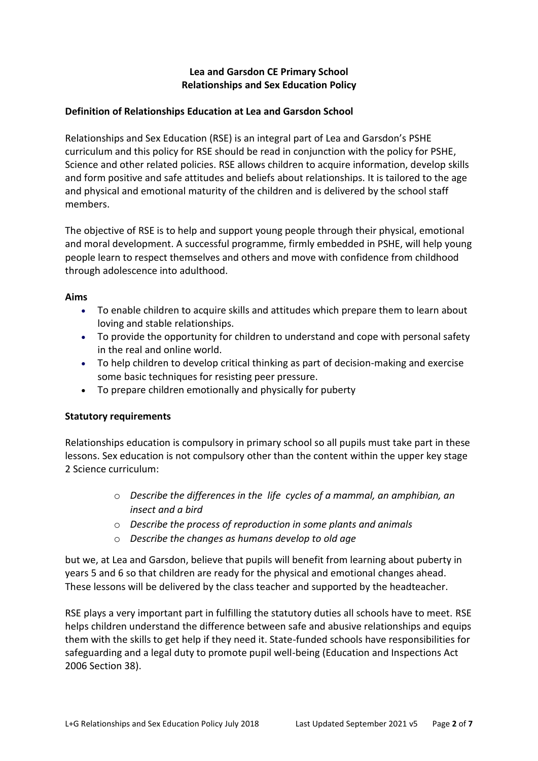# **Lea and Garsdon CE Primary School Relationships and Sex Education Policy**

# **Definition of Relationships Education at Lea and Garsdon School**

Relationships and Sex Education (RSE) is an integral part of Lea and Garsdon's PSHE curriculum and this policy for RSE should be read in conjunction with the policy for PSHE, Science and other related policies. RSE allows children to acquire information, develop skills and form positive and safe attitudes and beliefs about relationships. It is tailored to the age and physical and emotional maturity of the children and is delivered by the school staff members.

The objective of RSE is to help and support young people through their physical, emotional and moral development. A successful programme, firmly embedded in PSHE, will help young people learn to respect themselves and others and move with confidence from childhood through adolescence into adulthood.

#### **Aims**

- To enable children to acquire skills and attitudes which prepare them to learn about loving and stable relationships.
- To provide the opportunity for children to understand and cope with personal safety in the real and online world.
- To help children to develop critical thinking as part of decision-making and exercise some basic techniques for resisting peer pressure.
- To prepare children emotionally and physically for puberty

#### **Statutory requirements**

Relationships education is compulsory in primary school so all pupils must take part in these lessons. Sex education is not compulsory other than the content within the upper key stage 2 Science curriculum:

- o *Describe the differences in the life cycles of a mammal, an amphibian, an insect and a bird*
- o *Describe the process of reproduction in some plants and animals*
- o *Describe the changes as humans develop to old age*

but we, at Lea and Garsdon, believe that pupils will benefit from learning about puberty in years 5 and 6 so that children are ready for the physical and emotional changes ahead. These lessons will be delivered by the class teacher and supported by the headteacher.

RSE plays a very important part in fulfilling the statutory duties all schools have to meet. RSE helps children understand the difference between safe and abusive relationships and equips them with the skills to get help if they need it. State-funded schools have responsibilities for safeguarding and a legal duty to promote pupil well-being (Education and Inspections Act 2006 Section 38).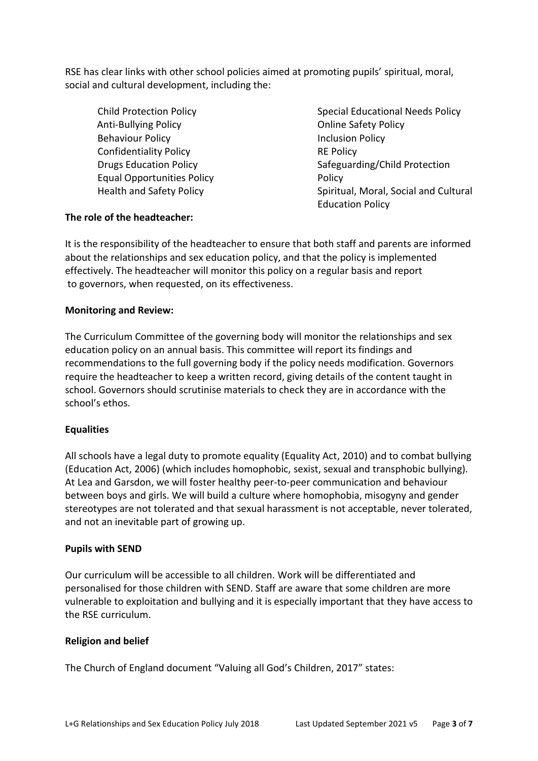RSE has clear links with other school policies aimed at promoting pupils' spiritual, moral, social and cultural development, including the:

- Anti-Bullying Policy Behaviour Policy Confidentiality Policy Drugs Education Policy Equal Opportunities Policy Health and Safety Policy
- Child Protection Policy **Special Educational Needs Policy** Special Educational Needs Policy Online Safety Policy Inclusion Policy RE Policy Safeguarding/Child Protection Policy Spiritual, Moral, Social and Cultural Education Policy

## **The role of the headteacher:**

It is the responsibility of the headteacher to ensure that both staff and parents are informed about the relationships and sex education policy, and that the policy is implemented effectively. The headteacher will monitor this policy on a regular basis and report to governors, when requested, on its effectiveness.

#### **Monitoring and Review:**

The Curriculum Committee of the governing body will monitor the relationships and sex education policy on an annual basis. This committee will report its findings and recommendations to the full governing body if the policy needs modification. Governors require the headteacher to keep a written record, giving details of the content taught in school. Governors should scrutinise materials to check they are in accordance with the school's ethos.

#### **Equalities**

All schools have a legal duty to promote equality (Equality Act, 2010) and to combat bullying (Education Act, 2006) (which includes homophobic, sexist, sexual and transphobic bullying). At Lea and Garsdon, we will foster healthy peer-to-peer communication and behaviour between boys and girls. We will build a culture where homophobia, misogyny and gender stereotypes are not tolerated and that sexual harassment is not acceptable, never tolerated, and not an inevitable part of growing up.

#### **Pupils with SEND**

Our curriculum will be accessible to all children. Work will be differentiated and personalised for those children with SEND. Staff are aware that some children are more vulnerable to exploitation and bullying and it is especially important that they have access to the RSE curriculum.

#### **Religion and belief**

The Church of England document "Valuing all God's Children, 2017" states: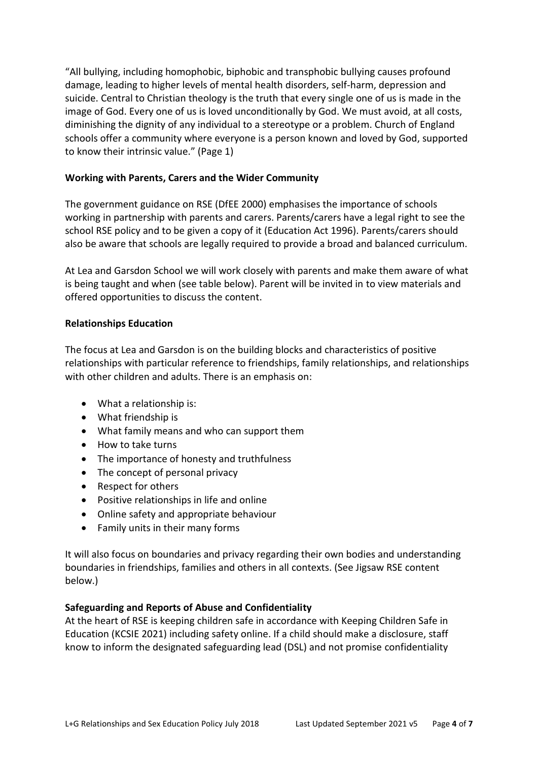"All bullying, including homophobic, biphobic and transphobic bullying causes profound damage, leading to higher levels of mental health disorders, self-harm, depression and suicide. Central to Christian theology is the truth that every single one of us is made in the image of God. Every one of us is loved unconditionally by God. We must avoid, at all costs, diminishing the dignity of any individual to a stereotype or a problem. Church of England schools offer a community where everyone is a person known and loved by God, supported to know their intrinsic value." (Page 1)

## **Working with Parents, Carers and the Wider Community**

The government guidance on RSE (DfEE 2000) emphasises the importance of schools working in partnership with parents and carers. Parents/carers have a legal right to see the school RSE policy and to be given a copy of it (Education Act 1996). Parents/carers should also be aware that schools are legally required to provide a broad and balanced curriculum.

At Lea and Garsdon School we will work closely with parents and make them aware of what is being taught and when (see table below). Parent will be invited in to view materials and offered opportunities to discuss the content.

## **Relationships Education**

The focus at Lea and Garsdon is on the building blocks and characteristics of positive relationships with particular reference to friendships, family relationships, and relationships with other children and adults. There is an emphasis on:

- What a relationship is:
- What friendship is
- What family means and who can support them
- How to take turns
- The importance of honesty and truthfulness
- The concept of personal privacy
- Respect for others
- Positive relationships in life and online
- Online safety and appropriate behaviour
- Family units in their many forms

It will also focus on boundaries and privacy regarding their own bodies and understanding boundaries in friendships, families and others in all contexts. (See Jigsaw RSE content below.)

#### **Safeguarding and Reports of Abuse and Confidentiality**

At the heart of RSE is keeping children safe in accordance with Keeping Children Safe in Education (KCSIE 2021) including safety online. If a child should make a disclosure, staff know to inform the designated safeguarding lead (DSL) and not promise confidentiality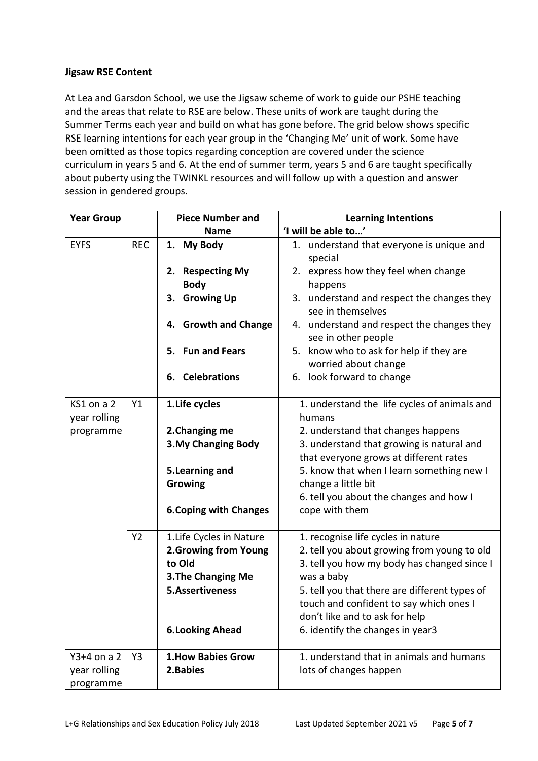# **Jigsaw RSE Content**

At Lea and Garsdon School, we use the Jigsaw scheme of work to guide our PSHE teaching and the areas that relate to RSE are below. These units of work are taught during the Summer Terms each year and build on what has gone before. The grid below shows specific RSE learning intentions for each year group in the 'Changing Me' unit of work. Some have been omitted as those topics regarding conception are covered under the science curriculum in years 5 and 6. At the end of summer term, years 5 and 6 are taught specifically about puberty using the TWINKL resources and will follow up with a question and answer session in gendered groups.

| <b>Year Group</b>          |            | <b>Piece Number and</b>         | <b>Learning Intentions</b>                                         |
|----------------------------|------------|---------------------------------|--------------------------------------------------------------------|
|                            |            | <b>Name</b>                     | 'I will be able to'                                                |
| <b>EYFS</b>                | <b>REC</b> | 1. My Body                      | 1. understand that everyone is unique and<br>special               |
|                            |            | 2. Respecting My<br><b>Body</b> | express how they feel when change<br>2.<br>happens                 |
|                            |            | <b>Growing Up</b><br>3.         | understand and respect the changes they<br>3.<br>see in themselves |
|                            |            | 4. Growth and Change            | 4. understand and respect the changes they<br>see in other people  |
|                            |            | 5. Fun and Fears                | 5. know who to ask for help if they are<br>worried about change    |
|                            |            | 6. Celebrations                 | 6. look forward to change                                          |
| KS1 on a 2<br>year rolling | Y1         | 1. Life cycles                  | 1. understand the life cycles of animals and<br>humans             |
| programme                  |            | 2. Changing me                  | 2. understand that changes happens                                 |
|                            |            | <b>3.My Changing Body</b>       | 3. understand that growing is natural and                          |
|                            |            |                                 | that everyone grows at different rates                             |
|                            |            | 5. Learning and                 | 5. know that when I learn something new I                          |
|                            |            | Growing                         | change a little bit                                                |
|                            |            |                                 | 6. tell you about the changes and how I                            |
|                            |            | <b>6. Coping with Changes</b>   | cope with them                                                     |
|                            | <b>Y2</b>  | 1. Life Cycles in Nature        | 1. recognise life cycles in nature                                 |
|                            |            | 2. Growing from Young           | 2. tell you about growing from young to old                        |
|                            |            | to Old                          | 3. tell you how my body has changed since I                        |
|                            |            | <b>3. The Changing Me</b>       | was a baby                                                         |
|                            |            | <b>5.Assertiveness</b>          | 5. tell you that there are different types of                      |
|                            |            |                                 | touch and confident to say which ones I                            |
|                            |            |                                 | don't like and to ask for help                                     |
|                            |            | <b>6.Looking Ahead</b>          | 6. identify the changes in year3                                   |
| $Y3+4$ on a 2              | Y3         | <b>1. How Babies Grow</b>       | 1. understand that in animals and humans                           |
| year rolling               |            | 2. Babies                       | lots of changes happen                                             |
| programme                  |            |                                 |                                                                    |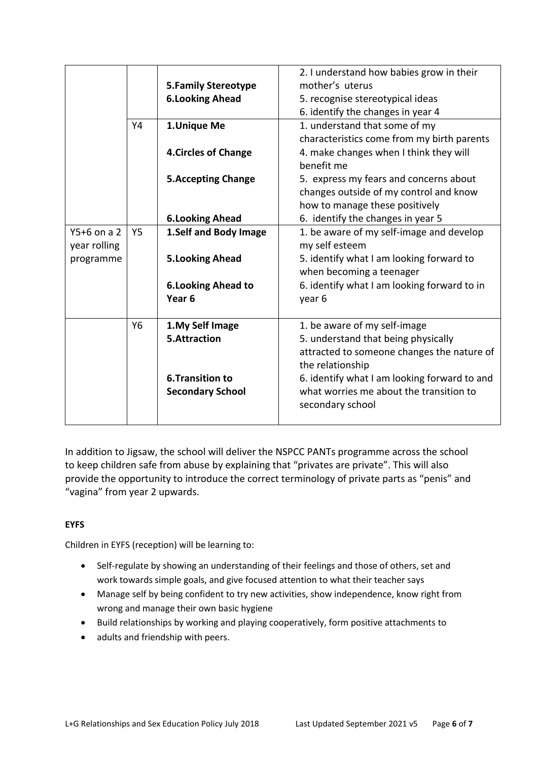|               |           |                             | 2. I understand how babies grow in their     |
|---------------|-----------|-----------------------------|----------------------------------------------|
|               |           | <b>5.Family Stereotype</b>  | mother's uterus                              |
|               |           | <b>6.Looking Ahead</b>      | 5. recognise stereotypical ideas             |
|               |           |                             | 6. identify the changes in year 4            |
|               | Y4        | 1.Unique Me                 | 1. understand that some of my                |
|               |           |                             | characteristics come from my birth parents   |
|               |           | <b>4. Circles of Change</b> | 4. make changes when I think they will       |
|               |           |                             | benefit me                                   |
|               |           | <b>5. Accepting Change</b>  | 5. express my fears and concerns about       |
|               |           |                             | changes outside of my control and know       |
|               |           |                             | how to manage these positively               |
|               |           | <b>6.Looking Ahead</b>      | 6. identify the changes in year 5            |
| $Y5+6$ on a 2 | <b>Y5</b> | 1.Self and Body Image       | 1. be aware of my self-image and develop     |
| year rolling  |           |                             | my self esteem                               |
| programme     |           | <b>5.Looking Ahead</b>      | 5. identify what I am looking forward to     |
|               |           |                             | when becoming a teenager                     |
|               |           | <b>6.Looking Ahead to</b>   | 6. identify what I am looking forward to in  |
|               |           | Year <sub>6</sub>           | year 6                                       |
|               |           |                             |                                              |
|               | Y6        | 1. My Self Image            | 1. be aware of my self-image                 |
|               |           | 5.Attraction                | 5. understand that being physically          |
|               |           |                             | attracted to someone changes the nature of   |
|               |           |                             | the relationship                             |
|               |           | <b>6.Transition to</b>      | 6. identify what I am looking forward to and |
|               |           | <b>Secondary School</b>     | what worries me about the transition to      |
|               |           |                             | secondary school                             |
|               |           |                             |                                              |

In addition to Jigsaw, the school will deliver the NSPCC PANTs programme across the school to keep children safe from abuse by explaining that "privates are private". This will also provide the opportunity to introduce the correct terminology of private parts as "penis" and "vagina" from year 2 upwards.

# **EYFS**

Children in EYFS (reception) will be learning to:

- Self-regulate by showing an understanding of their feelings and those of others, set and work towards simple goals, and give focused attention to what their teacher says
- Manage self by being confident to try new activities, show independence, know right from wrong and manage their own basic hygiene
- Build relationships by working and playing cooperatively, form positive attachments to
- adults and friendship with peers.